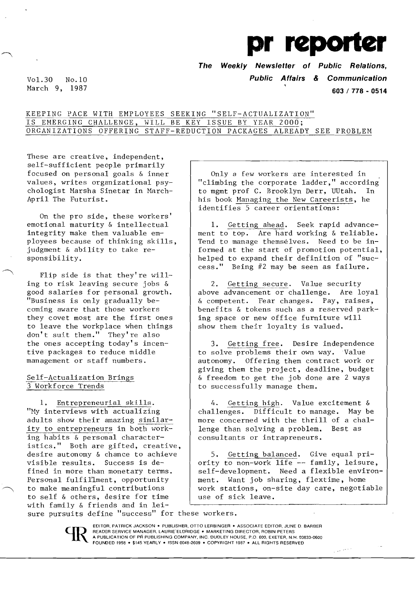**pr reporter** 

**The Weekly Newsletter of Public Relations,** 

Vol. 30 No.10 **Public Affairs & Communication** 

March 9, 1987 **603 / 778 - <sup>0514</sup>**

## KEEPING PACE WITH EMPLOYEES SEEKING "SELF-ACTUALIZATION" IS EMERGING CHALLENGE, WILL BE KEY ISSUE BY YEAR 2000; ORGANIZATIONS OFFERING STAFF-REDUCTION PACKAGES ALREADY SEE PROBLEM

These are creative, independent, self-sufficient people primarily focused on personal goals & inner values, writes organizational psychologist Harsha Sinetar in Harch-April The Futurist.

On the pro side, these workers' emotional maturity & intellectual integrity make them valuable employees because of thinking skills, judgment & ability to take responsibility.

Flip side is that they're  $\text{will}$ ing to risk leaving secure jobs & good salaries for personal growth. "Business is only gradually becoming aware that those workers they covet most are the first ones to leave the workplace when things don't suit them." They're also the ones accepting today's incentive packages to reduce middle management or staff numbers.

## Self-Actualization Brings 3 Workforce Trends

1. Entrepreneurial skills. "Hy interviews with actualizing adults show their amazing simi1arity to entrepreneurs in both working habits & personal characteristics." Both are gifted, creative, desire autonomy & chance to achieve visible results. Success is defined in more than monetary terms. Personal fulfillment, opportunity to make meaningful contributions to self & others, desire for time with family & friends and in lei-

Only a few workers are interested in "climbing the corporate ladder," according' to mgmt prof C. Brooklyn Derr, UUtah. In his book Managing the New Careerists, he identifies 5 career orientations:

1. Getting ahead. Seek rapid advancement to top. Are hard working & reliable. Tend to manage themselves. Need to be informed at the start of promotion potential, helped to expand their definition of "success." Being  $#2$  may be seen as failure.

2. Getting secure. Value security above advancement or challenge. Are loyal & competent. Fear changes. Pay, raises, benefits & tokens such as a reserved parking space or new office furniture will show them their loyalty is valued.

3. Getting free. Desire independence to solve problems their own way. Value autonomy. Offering them contract work or giving them the project, deadline, budget & freedom to get the job done are 2 ways to successfully manage them.

4. Getting high. Value excitement & challenges. Difficult to manage. Hay be more concerned with the thrill of a chal-<br>lenge than solving a problem. Best as lenge than solving a problem. consultants or intrapreneurs.

5. Getting balanced. Give equal priority to non-work life -- family, leisure, self-development. Need a flexible environment. Want job sharing, flextime, home work stations, on-site day care, negotiable use of sick leave.

 $\mathbb{Z}^{(2n-1)\frac{1}{2} \log n}$ 

sure pursuits define "success" for these workers.



. EDITOR, PATRICK JACKSON. PUBLISHER, OTTO LERBINGER • ASSOCIATE EDITOR. JUNE D. BARBER READER SERVICE MANAGER. LAURIE' ELDRIDGE • MARKETING DIRECTOR, ROBIN PETERS A PUBLICATION OF PR PUBLISHING COMPANY, INC. DUDLEY HOUSE. P.O 600, EXETER, N.H. 03833-0600 FOUNDED 1958 · \$145 YEARLY · ISSN 0048-2609 · COPYRIGHT 1987 · ALL RIGHTS RESERVED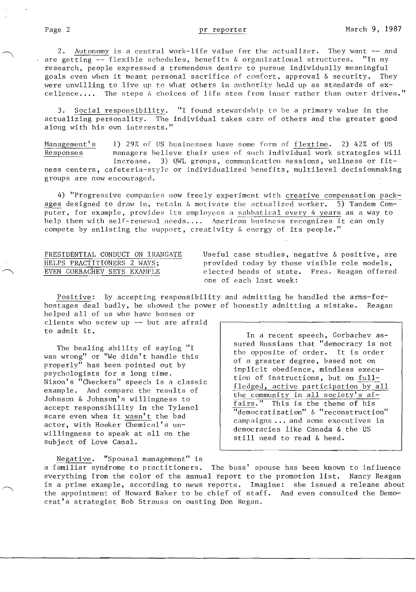2. Autonomy is a central work-life value for the actualizer. They want -- and are getting -- flexible schedules, benefits & organizational structures. "In my research, people expressed a tremendous desire to pursue individually meaningful goals even when it meant personal sacrifice of comfort, approval & security. They were unwilling to live up to what others in authority he, ld up as standards of ex-<br>cellence.... The steps & choices of life stem from inner rather than outer drive: The steps & choices of life stem from inner rather than outer drives."

Social responsibility. "I found stewardship to be a primary value in the actualizing personality. The individual takes care of others and the greater good along with his own interests.'

Management's 1) 29% of US businesses have some form of flextime. 2) 42% of US managers believe their uses of such individual work strategies will  $increases.$  3) QWL groups, communication sessions, wellness or fitness centers, cafeteria-style or individualized benefits, multilevel decisionmaking groups are now encouraged.

4) "Progressive companies now freely experiment with creative compensation packages designed to draw in, retain  $\&$  motivate the actualized worker. 5) Tandem Computer, for example, provides its employees a sabbatical every 4 years as a way to help them with self-renewal needs.... American business recognizes it can only compete by enlisting the support, creativity & energy of its people."

PRESIDENTIAL CONDUCT ON IRANGATE Useful case studies, negative & positive, are<br>HELPS PRACTITIONERS 2 WAYS; provided today by those visible role models, HELPS PRACTITIONERS 2 WAYS;<br>EVEN GORBACHEV SETS EXAMPLE elected heads of state. Pres. Reagan offered elected heads of state. Pres. Reagan offered one of each J.ast week:

Positive: By accepting responsibility and admitting he handled the arms-forhostages deal badly, he showed the power of honestly admitting a mistake. Reagan helped all of us who have bosses or

clients who screw up -- but are afraid

was wrong" or "We didn't handle this<br>
properly" has been pointed out by<br>
psychologists for a long time.<br>
Nixon's "Checkers" speech is a classic<br>  $\begin{array}{c|c}\n\text{if a greater degree, based not on  
implicit obedience, mindless execu-  
tion of instructions, but on full-  
of instructions, but on full-  
of instructions.$ example. And compare the results of<br>Johnson & Johnson's willingness to<br>accept responsibility in the Tylenol<br> $\frac{1}{1}$  all society's af-<br> $\frac{1}{1}$  all society's af-<br> $\frac{1}{1}$  all society's af-<br> $\frac{1}{1}$  all society's af-<br> $\$ accept responsibility in the Tylenol and the series. This is the theme of his<br>Seare even then it won't the had scare even when it wasn't the bad scare even when it wasn't the bad campaigns ... and some executives in beate even when it wasn't the bad<br>actor, with Hooker Chemical's un-<br>willingness to speak at all on the still need to read & heed.<br>subject of Love Canal.

to admit it. In a recent speech, Gorbachev as-The healing ability of saying "I sured Russians that "democracy is not<br>wrong" or "We didn't handle this the opposite of order. It is order.

Negative. "Spousal management" is a familiar syndrome to practitioners. The boss' spouse has been known to influence everything from the color of the annual report to the promotion list. Nancy Reagan is a prime example, according to news reports. Imagine: she issued a release about the appointment of Howard Baker to be chief of staff. And even consulted the Democrat's strategist Bob Strauss on ousting Don Regan.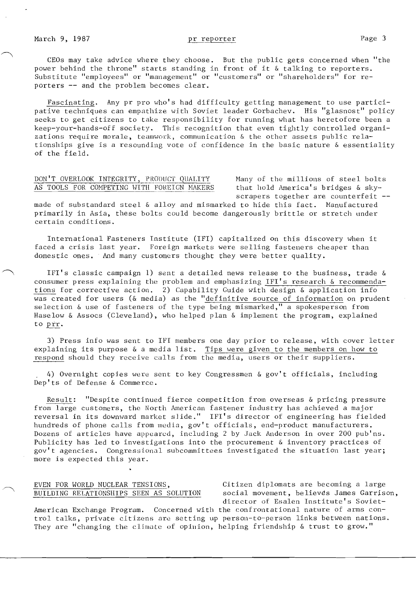Fascinating. Any pr pro who's had difficulty getting management to use participative techniques can empathize with Soviet leader Gorbachev. His "glasnost" policy seeks to get citizens to take responsibility for running what has heretofore been a keep-your-hands-off society. This recognition that even tightly controlled organizations require morale, teamwork, communication  $\&$  the other assets public relationships give is a resounding vote of confidence in the basic nature & essentiality of the field.

## DON'T OVERLOOK INTEGRITY, PRODUCT QUALITY Many of the millions of steel bolts AS TOOLS FOR COMPETING WITH FOREIGN MAKERS that hold America's bridges  $\&$  sky-

scrapers together are counterfeit --

made of substandard steel & alloy and mismarked to hide this fact. Nanufactured primarily in Asia. these bolts could become dangerously brittle or stretch under certain conditions.

International Fasteners Institute (IFI) capitalized On this discovery when it faced a crisis last year. Foreign markets were selling fasteners cheaper than domestic ones. And many customers thought they were better quality.

IFI's classic campaign 1) sent a detailed news release to the business. trade & consumer press explaining the problem and emphasizing IFI's research & recommendations for corrective action. 2) Capability Guide with design & application info was created for users (& media) as the "definitive source of information on prudent selection & use of fasteners of the type being mismarked," a spokesperson from Haselow & Assocs (Cleveland), who helped plan & implement the program, explained to prr.

3) Press info was sent to IFI members one day prior to release, with cover letter explaining its purpose & a media list. Tips \vere given to the members on how to respond should they receive calls from the media, users or their suppliers.

. 4) Overnight copies were sent to key Congressmen & gov't officials. including Dep'ts of Defense & Commerce.

Result: "Despite continued fierce competition from overseas & pricing pressure from large customers. the North American fastener industry has achieved a major reversal in its downward market slide." IFI's director of engineering has fielded hundreds of phone calls from media, gov't officials, end-product manufacturers. Dozens of articles have appeared, including 2 by Jack Anderson in over 200 pub'ns. Publicity has led to investigations into the procurement & inventory practices of gov't agencies. Congressional subcommittees investigated the situation last year; more is expected this year.

# EVEN FOR WORLD NUCLEAR TENSIONS. Citizen diplomats are becoming a large

BUILDING RELATIONSHIPS SEEN AS SOLUTION social movement, believes James Garrison, director of Esalen Institute's Soviet-

American Exchange Program. Concerned with the confrontational nature of arms control talks. private citizens are setting up person-to-person links between nations. They are "changing the climate of opinion, helping friendship & trust to grow."